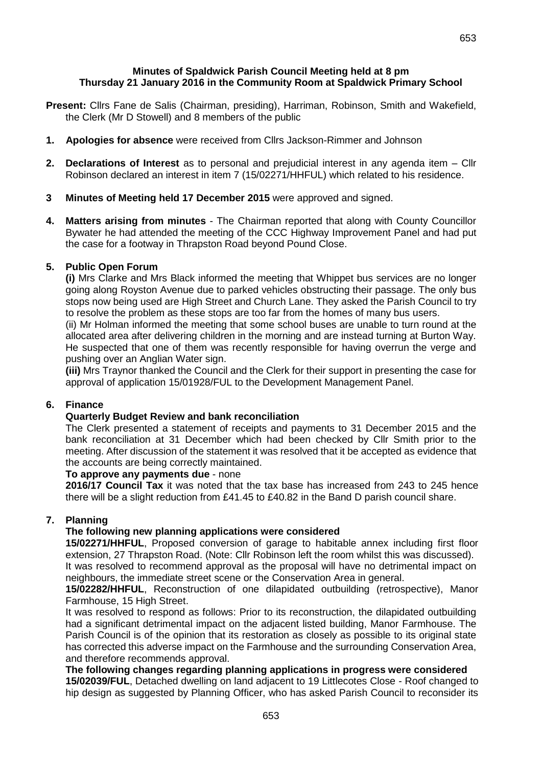#### **Minutes of Spaldwick Parish Council Meeting held at 8 pm Thursday 21 January 2016 in the Community Room at Spaldwick Primary School**

- **Present:** Cllrs Fane de Salis (Chairman, presiding), Harriman, Robinson, Smith and Wakefield, the Clerk (Mr D Stowell) and 8 members of the public
- **1. Apologies for absence** were received from Cllrs Jackson-Rimmer and Johnson
- **2. Declarations of Interest** as to personal and prejudicial interest in any agenda item Cllr Robinson declared an interest in item 7 (15/02271/HHFUL) which related to his residence.
- **3 Minutes of Meeting held 17 December 2015** were approved and signed.
- **4. Matters arising from minutes**  The Chairman reported that along with County Councillor Bywater he had attended the meeting of the CCC Highway Improvement Panel and had put the case for a footway in Thrapston Road beyond Pound Close.

## **5. Public Open Forum**

**(i)** Mrs Clarke and Mrs Black informed the meeting that Whippet bus services are no longer going along Royston Avenue due to parked vehicles obstructing their passage. The only bus stops now being used are High Street and Church Lane. They asked the Parish Council to try to resolve the problem as these stops are too far from the homes of many bus users.

(ii) Mr Holman informed the meeting that some school buses are unable to turn round at the allocated area after delivering children in the morning and are instead turning at Burton Way. He suspected that one of them was recently responsible for having overrun the verge and pushing over an Anglian Water sign.

**(iii)** Mrs Traynor thanked the Council and the Clerk for their support in presenting the case for approval of application 15/01928/FUL to the Development Management Panel.

### **6. Finance**

### **Quarterly Budget Review and bank reconciliation**

The Clerk presented a statement of receipts and payments to 31 December 2015 and the bank reconciliation at 31 December which had been checked by Cllr Smith prior to the meeting. After discussion of the statement it was resolved that it be accepted as evidence that the accounts are being correctly maintained.

### **To approve any payments due** - none

**2016/17 Council Tax** it was noted that the tax base has increased from 243 to 245 hence there will be a slight reduction from £41.45 to £40.82 in the Band D parish council share.

### **7. Planning**

## **The following new planning applications were considered**

**15/02271/HHFUL**, Proposed conversion of garage to habitable annex including first floor extension, 27 Thrapston Road. (Note: Cllr Robinson left the room whilst this was discussed). It was resolved to recommend approval as the proposal will have no detrimental impact on neighbours, the immediate street scene or the Conservation Area in general.

**15/02282/HHFUL**, Reconstruction of one dilapidated outbuilding (retrospective), Manor Farmhouse, 15 High Street.

It was resolved to respond as follows: Prior to its reconstruction, the dilapidated outbuilding had a significant detrimental impact on the adjacent listed building, Manor Farmhouse. The Parish Council is of the opinion that its restoration as closely as possible to its original state has corrected this adverse impact on the Farmhouse and the surrounding Conservation Area, and therefore recommends approval.

**The following changes regarding planning applications in progress were considered 15/02039/FUL**, Detached dwelling on land adjacent to 19 Littlecotes Close - Roof changed to hip design as suggested by Planning Officer, who has asked Parish Council to reconsider its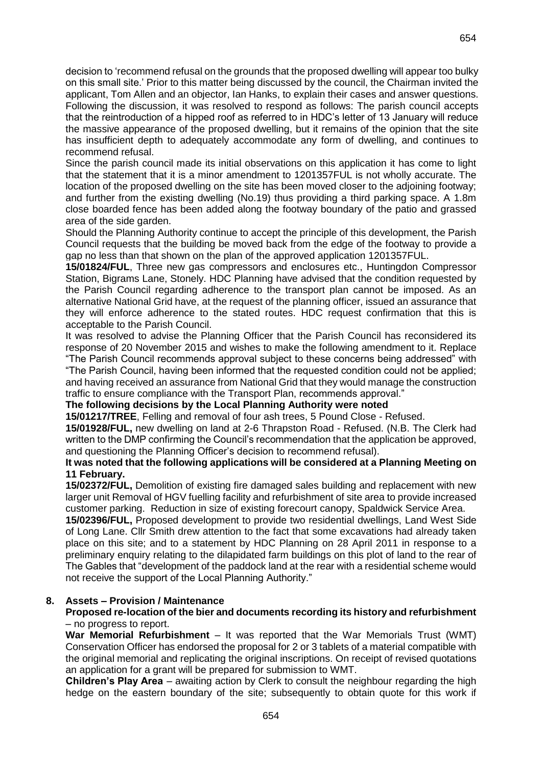decision to 'recommend refusal on the grounds that the proposed dwelling will appear too bulky on this small site.' Prior to this matter being discussed by the council, the Chairman invited the applicant, Tom Allen and an objector, Ian Hanks, to explain their cases and answer questions. Following the discussion, it was resolved to respond as follows: The parish council accepts that the reintroduction of a hipped roof as referred to in HDC's letter of 13 January will reduce the massive appearance of the proposed dwelling, but it remains of the opinion that the site has insufficient depth to adequately accommodate any form of dwelling, and continues to recommend refusal.

Since the parish council made its initial observations on this application it has come to light that the statement that it is a minor amendment to 1201357FUL is not wholly accurate. The location of the proposed dwelling on the site has been moved closer to the adjoining footway; and further from the existing dwelling (No.19) thus providing a third parking space. A 1.8m close boarded fence has been added along the footway boundary of the patio and grassed area of the side garden.

Should the Planning Authority continue to accept the principle of this development, the Parish Council requests that the building be moved back from the edge of the footway to provide a gap no less than that shown on the plan of the approved application 1201357FUL.

**15/01824/FUL**, Three new gas compressors and enclosures etc., Huntingdon Compressor Station, Bigrams Lane, Stonely. HDC Planning have advised that the condition requested by the Parish Council regarding adherence to the transport plan cannot be imposed. As an alternative National Grid have, at the request of the planning officer, issued an assurance that they will enforce adherence to the stated routes. HDC request confirmation that this is acceptable to the Parish Council.

It was resolved to advise the Planning Officer that the Parish Council has reconsidered its response of 20 November 2015 and wishes to make the following amendment to it. Replace "The Parish Council recommends approval subject to these concerns being addressed" with "The Parish Council, having been informed that the requested condition could not be applied; and having received an assurance from National Grid that they would manage the construction traffic to ensure compliance with the Transport Plan, recommends approval."

### **The following decisions by the Local Planning Authority were noted**

**15/01217/TREE**, Felling and removal of four ash trees, 5 Pound Close - Refused.

**15/01928/FUL,** new dwelling on land at 2-6 Thrapston Road - Refused. (N.B. The Clerk had written to the DMP confirming the Council's recommendation that the application be approved, and questioning the Planning Officer's decision to recommend refusal).

### **It was noted that the following applications will be considered at a Planning Meeting on 11 February.**

**15/02372/FUL,** Demolition of existing fire damaged sales building and replacement with new larger unit Removal of HGV fuelling facility and refurbishment of site area to provide increased customer parking. Reduction in size of existing forecourt canopy, Spaldwick Service Area.

**15/02396/FUL,** Proposed development to provide two residential dwellings, Land West Side of Long Lane. Cllr Smith drew attention to the fact that some excavations had already taken place on this site; and to a statement by HDC Planning on 28 April 2011 in response to a preliminary enquiry relating to the dilapidated farm buildings on this plot of land to the rear of The Gables that "development of the paddock land at the rear with a residential scheme would not receive the support of the Local Planning Authority."

### **8. Assets – Provision / Maintenance**

### **Proposed re-location of the bier and documents recording its history and refurbishment**  – no progress to report.

**War Memorial Refurbishment** – It was reported that the War Memorials Trust (WMT) Conservation Officer has endorsed the proposal for 2 or 3 tablets of a material compatible with the original memorial and replicating the original inscriptions. On receipt of revised quotations an application for a grant will be prepared for submission to WMT.

**Children's Play Area** – awaiting action by Clerk to consult the neighbour regarding the high hedge on the eastern boundary of the site; subsequently to obtain quote for this work if